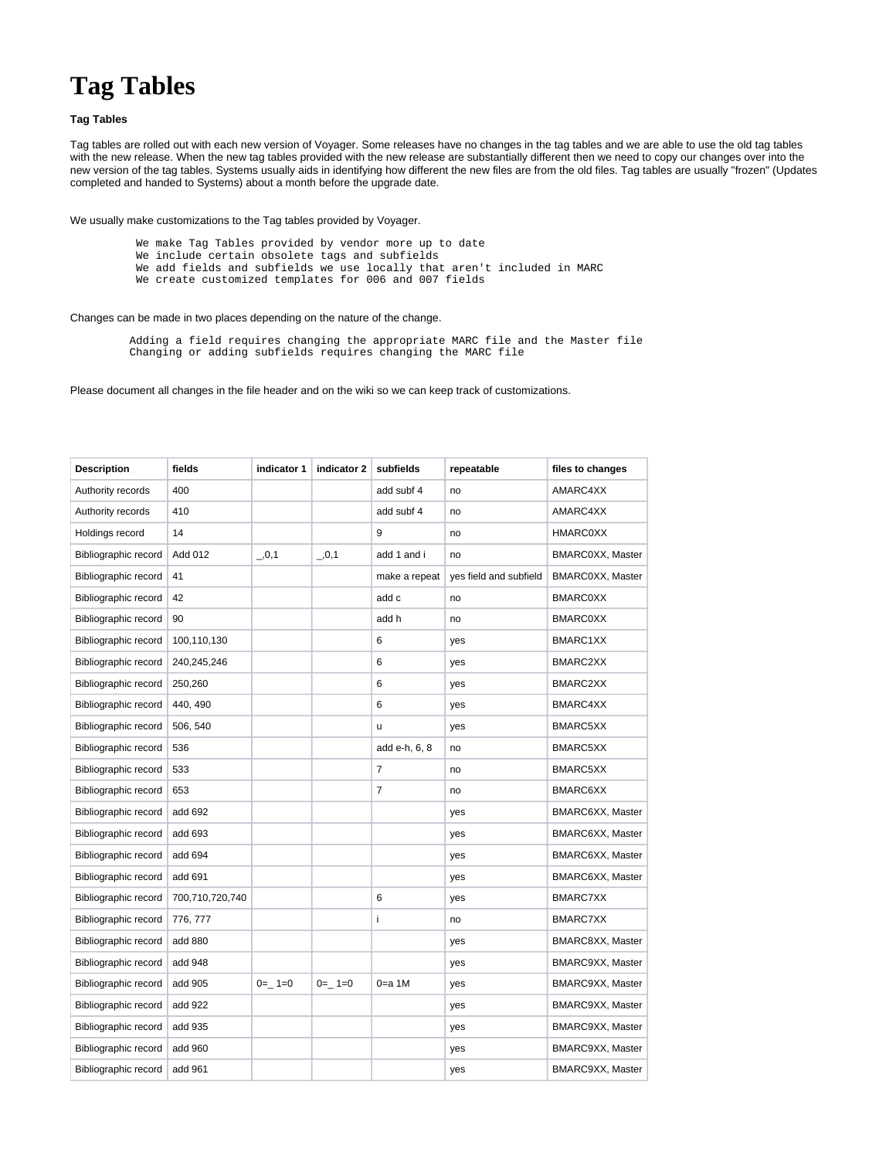## **Tag Tables**

## **Tag Tables**

Tag tables are rolled out with each new version of Voyager. Some releases have no changes in the tag tables and we are able to use the old tag tables with the new release. When the new tag tables provided with the new release are substantially different then we need to copy our changes over into the new version of the tag tables. Systems usually aids in identifying how different the new files are from the old files. Tag tables are usually "frozen" (Updates completed and handed to Systems) about a month before the upgrade date.

We usually make customizations to the Tag tables provided by Voyager.

- We make Tag Tables provided by vendor more up to date
- We include certain obsolete tags and subfields
- We add fields and subfields we use locally that aren't included in MARC
- We create customized templates for 006 and 007 fields

## Changes can be made in two places depending on the nature of the change.

 Adding a field requires changing the appropriate MARC file and the Master file Changing or adding subfields requires changing the MARC file

Please document all changes in the file header and on the wiki so we can keep track of customizations.

| <b>Description</b>   | fields          | indicator 1 | indicator 2 | subfields     | repeatable             | files to changes |
|----------------------|-----------------|-------------|-------------|---------------|------------------------|------------------|
| Authority records    | 400             |             |             | add subf 4    | no                     | AMARC4XX         |
| Authority records    | 410             |             |             | add subf 4    | no                     | AMARC4XX         |
| Holdings record      | 14              |             |             | 9             | no                     | <b>HMARC0XX</b>  |
| Bibliographic record | Add 012         | , 0, 1      | , 0, 1      | add 1 and i   | no                     | BMARC0XX, Master |
| Bibliographic record | 41              |             |             | make a repeat | yes field and subfield | BMARC0XX, Master |
| Bibliographic record | 42              |             |             | add c         | no                     | <b>BMARC0XX</b>  |
| Bibliographic record | 90              |             |             | add h         | no                     | <b>BMARC0XX</b>  |
| Bibliographic record | 100,110,130     |             |             | 6             | yes                    | BMARC1XX         |
| Bibliographic record | 240,245,246     |             |             | 6             | yes                    | BMARC2XX         |
| Bibliographic record | 250,260         |             |             | 6             | yes                    | BMARC2XX         |
| Bibliographic record | 440, 490        |             |             | 6             | yes                    | BMARC4XX         |
| Bibliographic record | 506, 540        |             |             | u             | yes                    | BMARC5XX         |
| Bibliographic record | 536             |             |             | add e-h, 6, 8 | no                     | BMARC5XX         |
| Bibliographic record | 533             |             |             | 7             | no                     | BMARC5XX         |
| Bibliographic record | 653             |             |             | 7             | no                     | BMARC6XX         |
| Bibliographic record | add 692         |             |             |               | yes                    | BMARC6XX, Master |
| Bibliographic record | add 693         |             |             |               | yes                    | BMARC6XX, Master |
| Bibliographic record | add 694         |             |             |               | yes                    | BMARC6XX, Master |
| Bibliographic record | add 691         |             |             |               | yes                    | BMARC6XX, Master |
| Bibliographic record | 700,710,720,740 |             |             | 6             | yes                    | BMARC7XX         |
| Bibliographic record | 776, 777        |             |             | i             | no                     | BMARC7XX         |
| Bibliographic record | add 880         |             |             |               | yes                    | BMARC8XX, Master |
| Bibliographic record | add 948         |             |             |               | yes                    | BMARC9XX, Master |
| Bibliographic record | add 905         | $0 = 1 = 0$ | $0=-1=0$    | $0=$ a 1 $M$  | yes                    | BMARC9XX, Master |
| Bibliographic record | add 922         |             |             |               | yes                    | BMARC9XX, Master |
| Bibliographic record | add 935         |             |             |               | yes                    | BMARC9XX, Master |
| Bibliographic record | add 960         |             |             |               | yes                    | BMARC9XX, Master |
| Bibliographic record | add 961         |             |             |               | yes                    | BMARC9XX, Master |